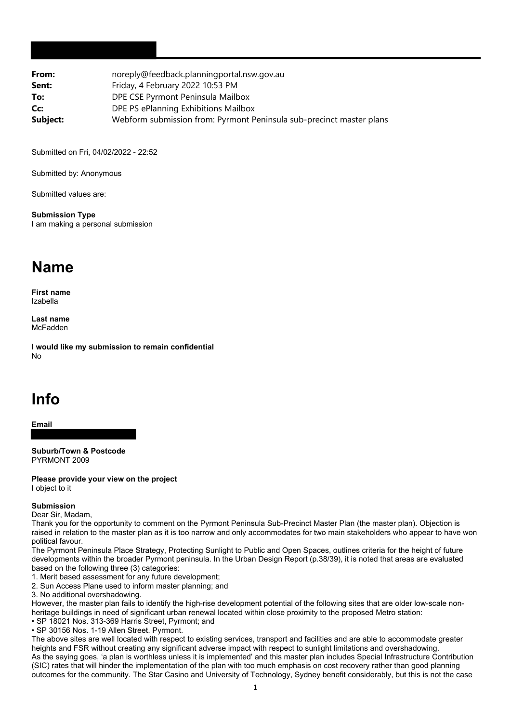| noreply@feedback.planningportal.nsw.gov.au                           |
|----------------------------------------------------------------------|
| Friday, 4 February 2022 10:53 PM                                     |
| DPE CSE Pyrmont Peninsula Mailbox                                    |
| DPE PS ePlanning Exhibitions Mailbox                                 |
| Webform submission from: Pyrmont Peninsula sub-precinct master plans |
|                                                                      |

Submitted on Fri, 04/02/2022 - 22:52

Submitted by: Anonymous

Submitted values are:

**Submission Type** I am making a personal submission

## **Name**

**First name** Izabella

**Last name** McFadden

**I would like my submission to remain confidential** No

## **Info**

**Email**

**Suburb/Town & Postcode** PYRMONT 2009

**Please provide your view on the project** I object to it

## **Submission**

Dear Sir, Madam,

Thank you for the opportunity to comment on the Pyrmont Peninsula Sub-Precinct Master Plan (the master plan). Objection is raised in relation to the master plan as it is too narrow and only accommodates for two main stakeholders who appear to have won political favour.

The Pyrmont Peninsula Place Strategy, Protecting Sunlight to Public and Open Spaces, outlines criteria for the height of future developments within the broader Pyrmont peninsula. In the Urban Design Report (p.38/39), it is noted that areas are evaluated based on the following three (3) categories:

1. Merit based assessment for any future development;

2. Sun Access Plane used to inform master planning; and

3. No additional overshadowing.

However, the master plan fails to identify the high-rise development potential of the following sites that are older low-scale nonheritage buildings in need of significant urban renewal located within close proximity to the proposed Metro station:

• SP 18021 Nos. 313-369 Harris Street, Pyrmont; and

• SP 30156 Nos. 1-19 Allen Street. Pyrmont.

The above sites are well located with respect to existing services, transport and facilities and are able to accommodate greater heights and FSR without creating any significant adverse impact with respect to sunlight limitations and overshadowing. As the saying goes, 'a plan is worthless unless it is implemented' and this master plan includes Special Infrastructure Contribution (SIC) rates that will hinder the implementation of the plan with too much emphasis on cost recovery rather than good planning outcomes for the community. The Star Casino and University of Technology, Sydney benefit considerably, but this is not the case